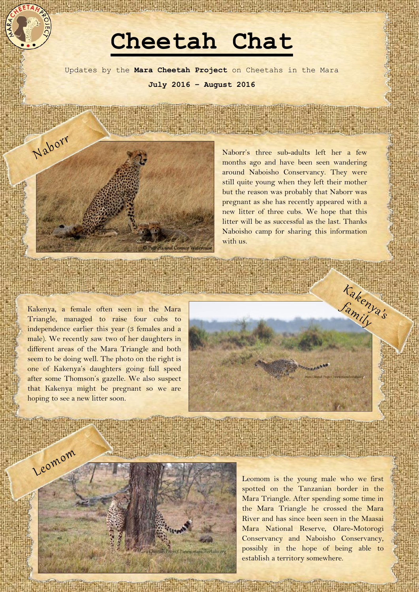## **Cheetah Chat**

Updates by the **Mara Cheetah Project** on Cheetahs in the Mara **July 2016 – August 2016**



Naborr's three sub-adults left her a few months ago and have been seen wandering around Naboisho Conservancy. They were still quite young when they left their mother but the reason was probably that Naborr was pregnant as she has recently appeared with a new litter of three cubs. We hope that this litter will be as successful as the last. Thanks Naboisho camp for sharing this information with us.

Kakenya, a female often seen in the Mara Triangle, managed to raise four cubs to independence earlier this year (3 females and a male). We recently saw two of her daughters in different areas of the Mara Triangle and both seem to be doing well. The photo on the right is one of Kakenya's daughters going full speed after some Thomson's gazelle. We also suspect that Kakenya might be pregnant so we are hoping to see a new litter soon.





Leomom is the young male who we first spotted on the Tanzanian border in the Mara Triangle. After spending some time in the Mara Triangle he crossed the Mara River and has since been seen in the Maasai Mara National Reserve, Olare-Motorogi Conservancy and Naboisho Conservancy, possibly in the hope of being able to establish a territory somewhere.

**IDINER DATE OF BEATLE AND STOLEN FO**